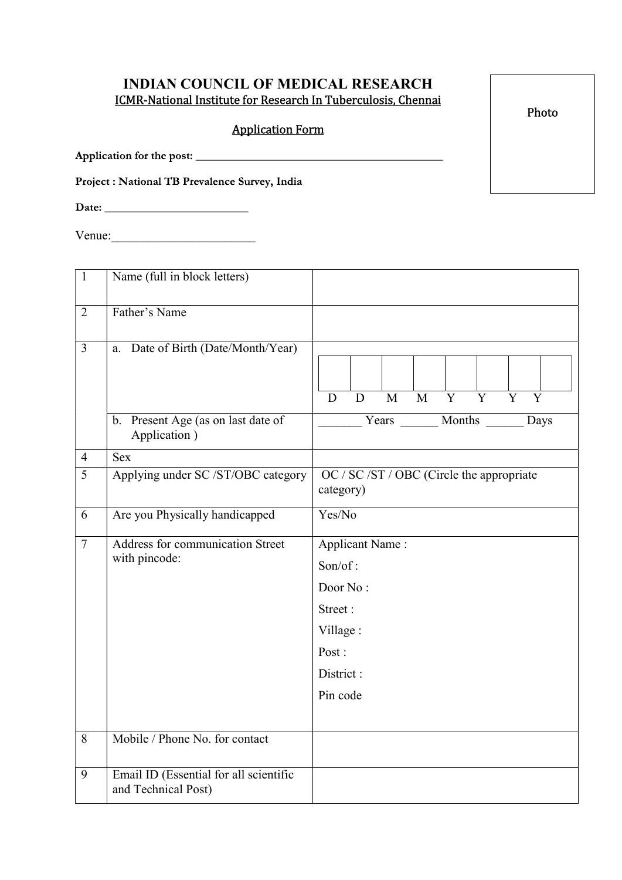## INDIAN COUNCIL OF MEDICAL RESEARCH ICMR-National Institute for Research In Tuberculosis, Chennai

# Application Form

Application for the post:

Project : National TB Prevalence Survey, India

 $V$ enue: $\qquad \qquad$ 

| $\mathbf{1}$   | Name (full in block letters)                                  |                                                                                                        |
|----------------|---------------------------------------------------------------|--------------------------------------------------------------------------------------------------------|
| $\overline{2}$ | Father's Name                                                 |                                                                                                        |
| $\overline{3}$ | a. Date of Birth (Date/Month/Year)                            | $\overline{Y}$<br>M<br>Y<br>Y<br>Y<br>M<br>D<br>D                                                      |
|                | b. Present Age (as on last date of<br>Application)            | Years Months<br>Days                                                                                   |
| $\overline{4}$ | <b>Sex</b>                                                    |                                                                                                        |
| 5              | Applying under SC /ST/OBC category                            | OC / SC / ST / OBC (Circle the appropriate<br>category)                                                |
| 6              | Are you Physically handicapped                                | Yes/No                                                                                                 |
| $\overline{7}$ | Address for communication Street<br>with pincode:             | <b>Applicant Name:</b><br>Son/of:<br>Door No:<br>Street:<br>Village:<br>Post:<br>District:<br>Pin code |
| 8              | Mobile / Phone No. for contact                                |                                                                                                        |
| $\overline{9}$ | Email ID (Essential for all scientific<br>and Technical Post) |                                                                                                        |

Photo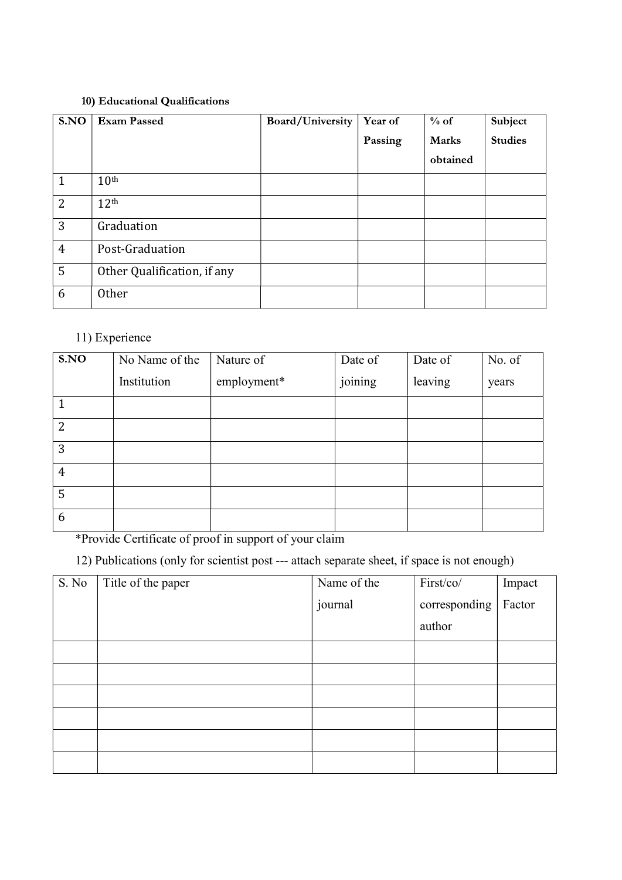#### 10) Educational Qualifications

| S.NO           | <b>Exam Passed</b>          | Board/University | <b>Year of</b> | $%$ of       | Subject        |
|----------------|-----------------------------|------------------|----------------|--------------|----------------|
|                |                             |                  | Passing        | <b>Marks</b> | <b>Studies</b> |
|                |                             |                  |                | obtained     |                |
| 1              | 10 <sup>th</sup>            |                  |                |              |                |
| $\overline{2}$ | 12 <sup>th</sup>            |                  |                |              |                |
| 3              | Graduation                  |                  |                |              |                |
| $\overline{4}$ | Post-Graduation             |                  |                |              |                |
| 5              | Other Qualification, if any |                  |                |              |                |
| 6              | Other                       |                  |                |              |                |

## 11) Experience

| S.NO           | No Name of the | Nature of   | Date of | Date of | No. of |
|----------------|----------------|-------------|---------|---------|--------|
|                | Institution    | employment* | joining | leaving | years  |
| 1              |                |             |         |         |        |
| $\overline{2}$ |                |             |         |         |        |
| 3              |                |             |         |         |        |
| $\overline{4}$ |                |             |         |         |        |
| 5              |                |             |         |         |        |
| 6              |                |             |         |         |        |

\*Provide Certificate of proof in support of your claim

12) Publications (only for scientist post --- attach separate sheet, if space is not enough)

| S. No | Title of the paper | Name of the | First/co/     | Impact |
|-------|--------------------|-------------|---------------|--------|
|       |                    | journal     | corresponding | Factor |
|       |                    |             | author        |        |
|       |                    |             |               |        |
|       |                    |             |               |        |
|       |                    |             |               |        |
|       |                    |             |               |        |
|       |                    |             |               |        |
|       |                    |             |               |        |